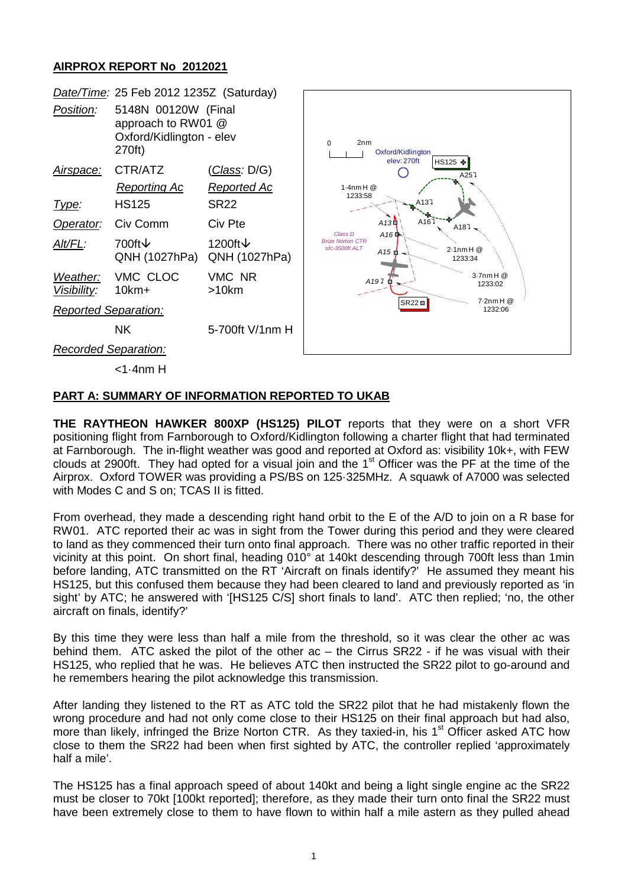## **AIRPROX REPORT No 2012021**



## **PART A: SUMMARY OF INFORMATION REPORTED TO UKAB**

**THE RAYTHEON HAWKER 800XP (HS125) PILOT** reports that they were on a short VFR positioning flight from Farnborough to Oxford/Kidlington following a charter flight that had terminated at Farnborough. The in-flight weather was good and reported at Oxford as: visibility 10k+, with FEW clouds at 2900ft. They had opted for a visual join and the 1<sup>st</sup> Officer was the PF at the time of the Airprox. Oxford TOWER was providing a PS/BS on 125·325MHz. A squawk of A7000 was selected with Modes C and S on; TCAS II is fitted.

From overhead, they made a descending right hand orbit to the E of the A/D to join on a R base for RW01. ATC reported their ac was in sight from the Tower during this period and they were cleared to land as they commenced their turn onto final approach. There was no other traffic reported in their vicinity at this point. On short final, heading 010° at 140kt descending through 700ft less than 1min before landing, ATC transmitted on the RT 'Aircraft on finals identify?' He assumed they meant his HS125, but this confused them because they had been cleared to land and previously reported as 'in sight' by ATC; he answered with '[HS125 C/S] short finals to land'. ATC then replied; 'no, the other aircraft on finals, identify?'

By this time they were less than half a mile from the threshold, so it was clear the other ac was behind them. ATC asked the pilot of the other ac – the Cirrus SR22 - if he was visual with their HS125, who replied that he was. He believes ATC then instructed the SR22 pilot to go-around and he remembers hearing the pilot acknowledge this transmission.

After landing they listened to the RT as ATC told the SR22 pilot that he had mistakenly flown the wrong procedure and had not only come close to their HS125 on their final approach but had also, more than likely, infringed the Brize Norton CTR. As they taxied-in, his 1<sup>st</sup> Officer asked ATC how close to them the SR22 had been when first sighted by ATC, the controller replied 'approximately half a mile'.

The HS125 has a final approach speed of about 140kt and being a light single engine ac the SR22 must be closer to 70kt [100kt reported]; therefore, as they made their turn onto final the SR22 must have been extremely close to them to have flown to within half a mile astern as they pulled ahead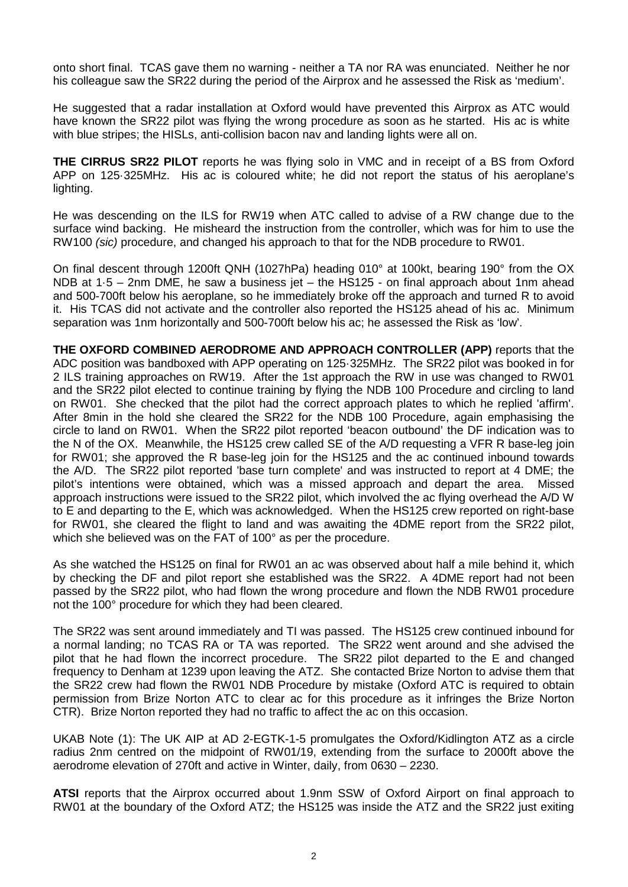onto short final. TCAS gave them no warning - neither a TA nor RA was enunciated. Neither he nor his colleague saw the SR22 during the period of the Airprox and he assessed the Risk as 'medium'.

He suggested that a radar installation at Oxford would have prevented this Airprox as ATC would have known the SR22 pilot was flying the wrong procedure as soon as he started. His ac is white with blue stripes; the HISLs, anti-collision bacon nav and landing lights were all on.

**THE CIRRUS SR22 PILOT** reports he was flying solo in VMC and in receipt of a BS from Oxford APP on 125·325MHz. His ac is coloured white; he did not report the status of his aeroplane's lighting.

He was descending on the ILS for RW19 when ATC called to advise of a RW change due to the surface wind backing. He misheard the instruction from the controller, which was for him to use the RW100 *(sic)* procedure, and changed his approach to that for the NDB procedure to RW01.

On final descent through 1200ft QNH (1027hPa) heading 010° at 100kt, bearing 190° from the OX NDB at 1·5 – 2nm DME, he saw a business jet – the HS125 - on final approach about 1nm ahead and 500-700ft below his aeroplane, so he immediately broke off the approach and turned R to avoid it. His TCAS did not activate and the controller also reported the HS125 ahead of his ac. Minimum separation was 1nm horizontally and 500-700ft below his ac; he assessed the Risk as 'low'.

**THE OXFORD COMBINED AERODROME AND APPROACH CONTROLLER (APP)** reports that the ADC position was bandboxed with APP operating on 125·325MHz. The SR22 pilot was booked in for 2 ILS training approaches on RW19. After the 1st approach the RW in use was changed to RW01 and the SR22 pilot elected to continue training by flying the NDB 100 Procedure and circling to land on RW01. She checked that the pilot had the correct approach plates to which he replied 'affirm'. After 8min in the hold she cleared the SR22 for the NDB 100 Procedure, again emphasising the circle to land on RW01. When the SR22 pilot reported 'beacon outbound' the DF indication was to the N of the OX. Meanwhile, the HS125 crew called SE of the A/D requesting a VFR R base-leg join for RW01; she approved the R base-leg join for the HS125 and the ac continued inbound towards the A/D. The SR22 pilot reported 'base turn complete' and was instructed to report at 4 DME; the pilot's intentions were obtained, which was a missed approach and depart the area. Missed approach instructions were issued to the SR22 pilot, which involved the ac flying overhead the A/D W to E and departing to the E, which was acknowledged. When the HS125 crew reported on right-base for RW01, she cleared the flight to land and was awaiting the 4DME report from the SR22 pilot, which she believed was on the FAT of 100° as per the procedure.

As she watched the HS125 on final for RW01 an ac was observed about half a mile behind it, which by checking the DF and pilot report she established was the SR22. A 4DME report had not been passed by the SR22 pilot, who had flown the wrong procedure and flown the NDB RW01 procedure not the 100° procedure for which they had been cleared.

The SR22 was sent around immediately and TI was passed. The HS125 crew continued inbound for a normal landing; no TCAS RA or TA was reported. The SR22 went around and she advised the pilot that he had flown the incorrect procedure. The SR22 pilot departed to the E and changed frequency to Denham at 1239 upon leaving the ATZ. She contacted Brize Norton to advise them that the SR22 crew had flown the RW01 NDB Procedure by mistake (Oxford ATC is required to obtain permission from Brize Norton ATC to clear ac for this procedure as it infringes the Brize Norton CTR). Brize Norton reported they had no traffic to affect the ac on this occasion.

UKAB Note (1): The UK AIP at AD 2-EGTK-1-5 promulgates the Oxford/Kidlington ATZ as a circle radius 2nm centred on the midpoint of RW01/19, extending from the surface to 2000ft above the aerodrome elevation of 270ft and active in Winter, daily, from 0630 – 2230.

**ATSI** reports that the Airprox occurred about 1.9nm SSW of Oxford Airport on final approach to RW01 at the boundary of the Oxford ATZ; the HS125 was inside the ATZ and the SR22 just exiting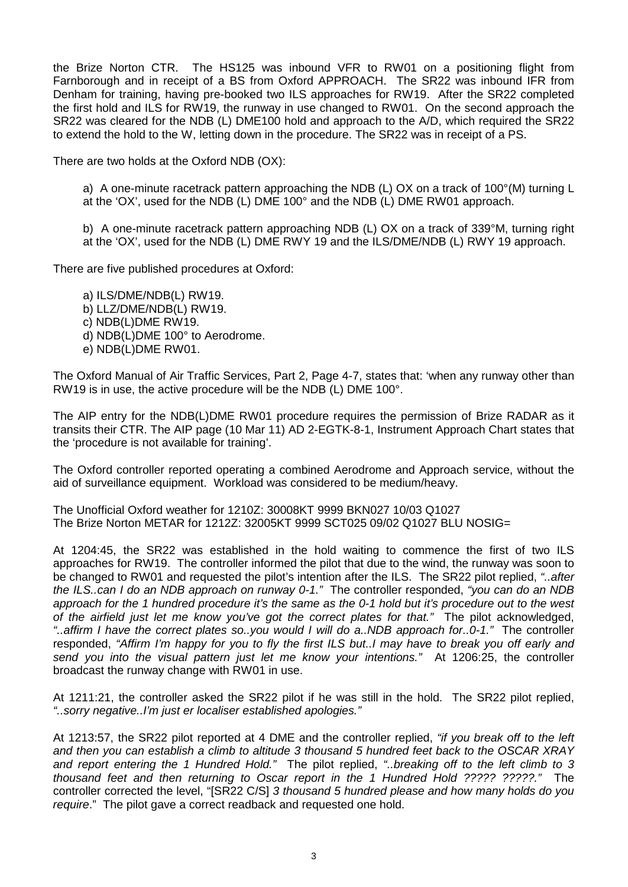the Brize Norton CTR. The HS125 was inbound VFR to RW01 on a positioning flight from Farnborough and in receipt of a BS from Oxford APPROACH. The SR22 was inbound IFR from Denham for training, having pre-booked two ILS approaches for RW19. After the SR22 completed the first hold and ILS for RW19, the runway in use changed to RW01. On the second approach the SR22 was cleared for the NDB (L) DME100 hold and approach to the A/D, which required the SR22 to extend the hold to the W, letting down in the procedure. The SR22 was in receipt of a PS.

There are two holds at the Oxford NDB (OX):

a) A one-minute racetrack pattern approaching the NDB (L) OX on a track of 100°(M) turning L at the 'OX', used for the NDB (L) DME 100° and the NDB (L) DME RW01 approach.

b) A one-minute racetrack pattern approaching NDB (L) OX on a track of 339°M, turning right at the 'OX', used for the NDB (L) DME RWY 19 and the ILS/DME/NDB (L) RWY 19 approach.

There are five published procedures at Oxford:

a) ILS/DME/NDB(L) RW19. b) LLZ/DME/NDB(L) RW19. c) NDB(L)DME RW19. d) NDB(L)DME 100° to Aerodrome. e) NDB(L)DME RW01.

The Oxford Manual of Air Traffic Services, Part 2, Page 4-7, states that: 'when any runway other than RW19 is in use, the active procedure will be the NDB (L) DME 100°.

The AIP entry for the NDB(L)DME RW01 procedure requires the permission of Brize RADAR as it transits their CTR. The AIP page (10 Mar 11) AD 2-EGTK-8-1, Instrument Approach Chart states that the 'procedure is not available for training'.

The Oxford controller reported operating a combined Aerodrome and Approach service, without the aid of surveillance equipment. Workload was considered to be medium/heavy.

The Unofficial Oxford weather for 1210Z: 30008KT 9999 BKN027 10/03 Q1027 The Brize Norton METAR for 1212Z: 32005KT 9999 SCT025 09/02 Q1027 BLU NOSIG=

At 1204:45, the SR22 was established in the hold waiting to commence the first of two ILS approaches for RW19. The controller informed the pilot that due to the wind, the runway was soon to be changed to RW01 and requested the pilot's intention after the ILS. The SR22 pilot replied, *"..after the ILS..can I do an NDB approach on runway 0-1."* The controller responded, *"you can do an NDB approach for the 1 hundred procedure it's the same as the 0-1 hold but it's procedure out to the west of the airfield just let me know you've got the correct plates for that."* The pilot acknowledged, *"..affirm I have the correct plates so..you would I will do a..NDB approach for..0-1."* The controller responded, *"Affirm I'm happy for you to fly the first ILS but..I may have to break you off early and send you into the visual pattern just let me know your intentions."* At 1206:25, the controller broadcast the runway change with RW01 in use.

At 1211:21, the controller asked the SR22 pilot if he was still in the hold. The SR22 pilot replied, *"..sorry negative..I'm just er localiser established apologies."*

At 1213:57, the SR22 pilot reported at 4 DME and the controller replied, *"if you break off to the left and then you can establish a climb to altitude 3 thousand 5 hundred feet back to the OSCAR XRAY and report entering the 1 Hundred Hold."* The pilot replied, *"..breaking off to the left climb to 3 thousand feet and then returning to Oscar report in the 1 Hundred Hold ????? ?????."* The controller corrected the level, "[SR22 C/S] *3 thousand 5 hundred please and how many holds do you require*." The pilot gave a correct readback and requested one hold.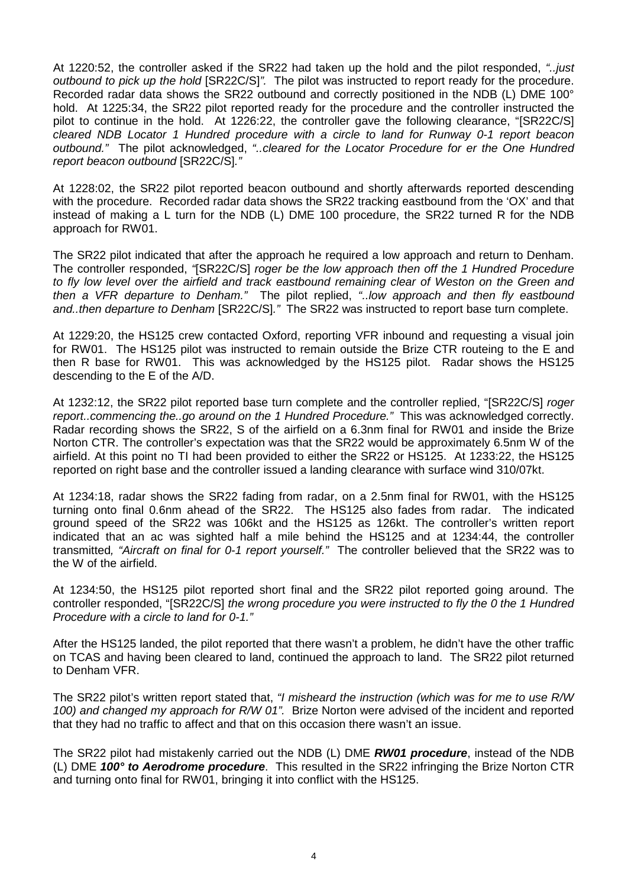At 1220:52, the controller asked if the SR22 had taken up the hold and the pilot responded, *"..just outbound to pick up the hold* [SR22C/S]*".* The pilot was instructed to report ready for the procedure. Recorded radar data shows the SR22 outbound and correctly positioned in the NDB (L) DME 100° hold. At 1225:34, the SR22 pilot reported ready for the procedure and the controller instructed the pilot to continue in the hold. At 1226:22, the controller gave the following clearance, "[SR22C/S] *cleared NDB Locator 1 Hundred procedure with a circle to land for Runway 0-1 report beacon outbound."* The pilot acknowledged, *"..cleared for the Locator Procedure for er the One Hundred report beacon outbound* [SR22C/S]*."*

At 1228:02, the SR22 pilot reported beacon outbound and shortly afterwards reported descending with the procedure. Recorded radar data shows the SR22 tracking eastbound from the 'OX' and that instead of making a L turn for the NDB (L) DME 100 procedure, the SR22 turned R for the NDB approach for RW01.

The SR22 pilot indicated that after the approach he required a low approach and return to Denham. The controller responded, *"*[SR22C/S] *roger be the low approach then off the 1 Hundred Procedure to fly low level over the airfield and track eastbound remaining clear of Weston on the Green and then a VFR departure to Denham."* The pilot replied, *"..low approach and then fly eastbound and..then departure to Denham* [SR22C/S]*."* The SR22 was instructed to report base turn complete.

At 1229:20, the HS125 crew contacted Oxford, reporting VFR inbound and requesting a visual join for RW01. The HS125 pilot was instructed to remain outside the Brize CTR routeing to the E and then R base for RW01. This was acknowledged by the HS125 pilot. Radar shows the HS125 descending to the E of the A/D.

At 1232:12, the SR22 pilot reported base turn complete and the controller replied, "[SR22C/S] *roger report..commencing the..go around on the 1 Hundred Procedure."* This was acknowledged correctly. Radar recording shows the SR22, S of the airfield on a 6.3nm final for RW01 and inside the Brize Norton CTR. The controller's expectation was that the SR22 would be approximately 6.5nm W of the airfield. At this point no TI had been provided to either the SR22 or HS125. At 1233:22, the HS125 reported on right base and the controller issued a landing clearance with surface wind 310/07kt.

At 1234:18, radar shows the SR22 fading from radar, on a 2.5nm final for RW01, with the HS125 turning onto final 0.6nm ahead of the SR22. The HS125 also fades from radar. The indicated ground speed of the SR22 was 106kt and the HS125 as 126kt. The controller's written report indicated that an ac was sighted half a mile behind the HS125 and at 1234:44, the controller transmitted*, "Aircraft on final for 0-1 report yourself."* The controller believed that the SR22 was to the W of the airfield.

At 1234:50, the HS125 pilot reported short final and the SR22 pilot reported going around. The controller responded, "[SR22C/S] *the wrong procedure you were instructed to fly the 0 the 1 Hundred Procedure with a circle to land for 0-1."*

After the HS125 landed, the pilot reported that there wasn't a problem, he didn't have the other traffic on TCAS and having been cleared to land, continued the approach to land. The SR22 pilot returned to Denham VFR.

The SR22 pilot's written report stated that, *"I misheard the instruction (which was for me to use R/W 100) and changed my approach for R/W 01".* Brize Norton were advised of the incident and reported that they had no traffic to affect and that on this occasion there wasn't an issue.

The SR22 pilot had mistakenly carried out the NDB (L) DME *RW01 procedure*, instead of the NDB (L) DME *100° to Aerodrome procedure*. This resulted in the SR22 infringing the Brize Norton CTR and turning onto final for RW01, bringing it into conflict with the HS125.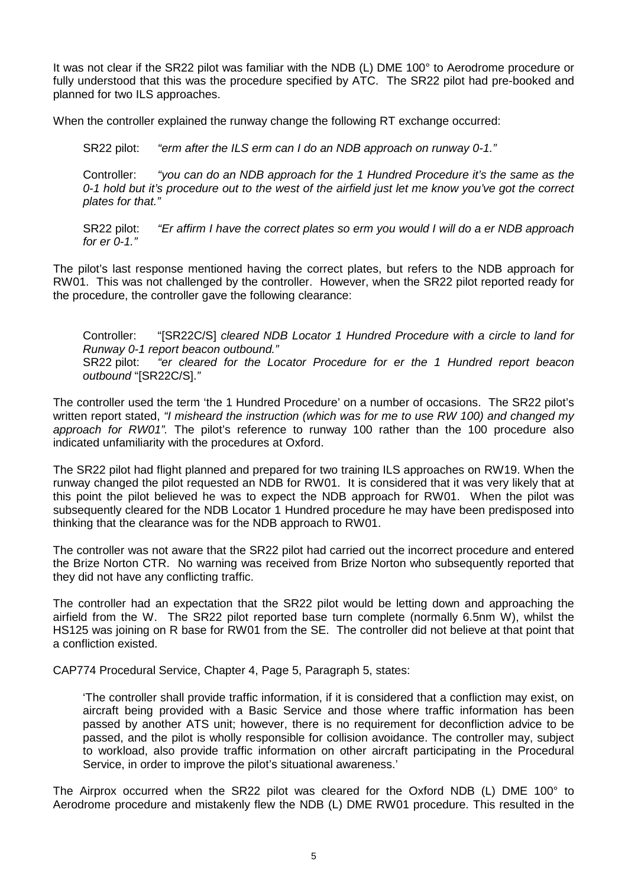It was not clear if the SR22 pilot was familiar with the NDB (L) DME 100° to Aerodrome procedure or fully understood that this was the procedure specified by ATC. The SR22 pilot had pre-booked and planned for two ILS approaches.

When the controller explained the runway change the following RT exchange occurred:

SR22 pilot: *"erm after the ILS erm can I do an NDB approach on runway 0-1."*

Controller: *"you can do an NDB approach for the 1 Hundred Procedure it's the same as the 0-1 hold but it's procedure out to the west of the airfield just let me know you've got the correct plates for that."*

SR22 pilot: *"Er affirm I have the correct plates so erm you would I will do a er NDB approach for er 0-1."*

The pilot's last response mentioned having the correct plates, but refers to the NDB approach for RW01. This was not challenged by the controller. However, when the SR22 pilot reported ready for the procedure, the controller gave the following clearance:

Controller: "[SR22C/S] *cleared NDB Locator 1 Hundred Procedure with a circle to land for Runway 0-1 report beacon outbound."* SR22 pilot: *"er cleared for the Locator Procedure for er the 1 Hundred report beacon outbound* "[SR22C/S].*"*

The controller used the term 'the 1 Hundred Procedure' on a number of occasions. The SR22 pilot's written report stated, *"I misheard the instruction (which was for me to use RW 100) and changed my approach for RW01".* The pilot's reference to runway 100 rather than the 100 procedure also indicated unfamiliarity with the procedures at Oxford.

The SR22 pilot had flight planned and prepared for two training ILS approaches on RW19. When the runway changed the pilot requested an NDB for RW01. It is considered that it was very likely that at this point the pilot believed he was to expect the NDB approach for RW01. When the pilot was subsequently cleared for the NDB Locator 1 Hundred procedure he may have been predisposed into thinking that the clearance was for the NDB approach to RW01.

The controller was not aware that the SR22 pilot had carried out the incorrect procedure and entered the Brize Norton CTR. No warning was received from Brize Norton who subsequently reported that they did not have any conflicting traffic.

The controller had an expectation that the SR22 pilot would be letting down and approaching the airfield from the W. The SR22 pilot reported base turn complete (normally 6.5nm W), whilst the HS125 was joining on R base for RW01 from the SE. The controller did not believe at that point that a confliction existed.

CAP774 Procedural Service, Chapter 4, Page 5, Paragraph 5, states:

'The controller shall provide traffic information, if it is considered that a confliction may exist, on aircraft being provided with a Basic Service and those where traffic information has been passed by another ATS unit; however, there is no requirement for deconfliction advice to be passed, and the pilot is wholly responsible for collision avoidance. The controller may, subject to workload, also provide traffic information on other aircraft participating in the Procedural Service, in order to improve the pilot's situational awareness.'

The Airprox occurred when the SR22 pilot was cleared for the Oxford NDB (L) DME 100° to Aerodrome procedure and mistakenly flew the NDB (L) DME RW01 procedure. This resulted in the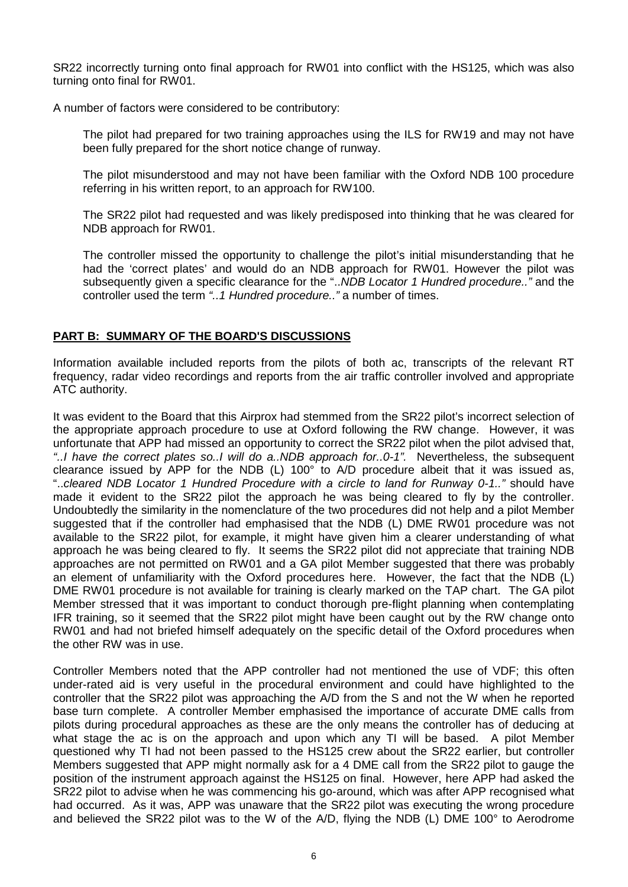SR22 incorrectly turning onto final approach for RW01 into conflict with the HS125, which was also turning onto final for RW01.

A number of factors were considered to be contributory:

The pilot had prepared for two training approaches using the ILS for RW19 and may not have been fully prepared for the short notice change of runway.

The pilot misunderstood and may not have been familiar with the Oxford NDB 100 procedure referring in his written report, to an approach for RW100.

The SR22 pilot had requested and was likely predisposed into thinking that he was cleared for NDB approach for RW01.

The controller missed the opportunity to challenge the pilot's initial misunderstanding that he had the 'correct plates' and would do an NDB approach for RW01. However the pilot was subsequently given a specific clearance for the "..*NDB Locator 1 Hundred procedure.."* and the controller used the term *"..1 Hundred procedure.."* a number of times.

## **PART B: SUMMARY OF THE BOARD'S DISCUSSIONS**

Information available included reports from the pilots of both ac, transcripts of the relevant RT frequency, radar video recordings and reports from the air traffic controller involved and appropriate ATC authority.

It was evident to the Board that this Airprox had stemmed from the SR22 pilot's incorrect selection of the appropriate approach procedure to use at Oxford following the RW change. However, it was unfortunate that APP had missed an opportunity to correct the SR22 pilot when the pilot advised that, *"..I have the correct plates so..I will do a..NDB approach for..0-1".* Nevertheless, the subsequent clearance issued by APP for the NDB (L) 100° to A/D procedure albeit that it was issued as, "..*cleared NDB Locator 1 Hundred Procedure with a circle to land for Runway 0-1.."* should have made it evident to the SR22 pilot the approach he was being cleared to fly by the controller. Undoubtedly the similarity in the nomenclature of the two procedures did not help and a pilot Member suggested that if the controller had emphasised that the NDB (L) DME RW01 procedure was not available to the SR22 pilot, for example, it might have given him a clearer understanding of what approach he was being cleared to fly. It seems the SR22 pilot did not appreciate that training NDB approaches are not permitted on RW01 and a GA pilot Member suggested that there was probably an element of unfamiliarity with the Oxford procedures here. However, the fact that the NDB (L) DME RW01 procedure is not available for training is clearly marked on the TAP chart. The GA pilot Member stressed that it was important to conduct thorough pre-flight planning when contemplating IFR training, so it seemed that the SR22 pilot might have been caught out by the RW change onto RW01 and had not briefed himself adequately on the specific detail of the Oxford procedures when the other RW was in use.

Controller Members noted that the APP controller had not mentioned the use of VDF; this often under-rated aid is very useful in the procedural environment and could have highlighted to the controller that the SR22 pilot was approaching the A/D from the S and not the W when he reported base turn complete. A controller Member emphasised the importance of accurate DME calls from pilots during procedural approaches as these are the only means the controller has of deducing at what stage the ac is on the approach and upon which any TI will be based. A pilot Member questioned why TI had not been passed to the HS125 crew about the SR22 earlier, but controller Members suggested that APP might normally ask for a 4 DME call from the SR22 pilot to gauge the position of the instrument approach against the HS125 on final. However, here APP had asked the SR22 pilot to advise when he was commencing his go-around, which was after APP recognised what had occurred. As it was, APP was unaware that the SR22 pilot was executing the wrong procedure and believed the SR22 pilot was to the W of the A/D, flying the NDB (L) DME 100° to Aerodrome